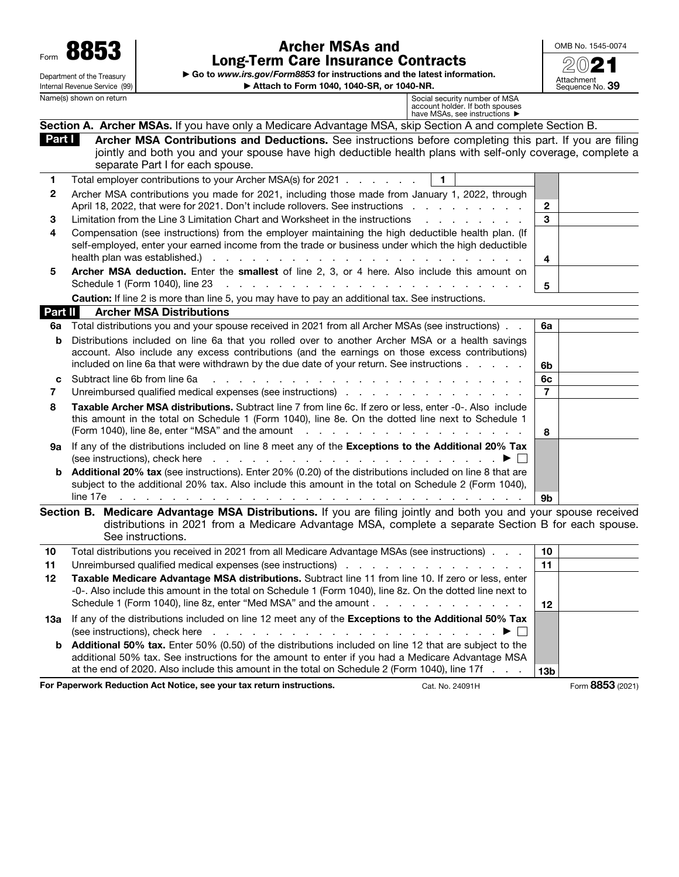Form 8853 Department of the Treasury Internal Revenue Service (99)<br>Name(s) shown on return

## Archer MSAs and Long-Term Care Insurance Contracts

▶ Go to *www.irs.gov/Form8853* for instructions and the latest information. ▶ Attach to Form 1040, 1040-SR, or 1040-NR.



Name(s) shown on return and the state of MSA account holder. If both spouses and the spouses of MSA account holder. If both spouses

| $1$ have MSAs, see instructions $\blacktriangleright$ |
|-------------------------------------------------------|
|                                                       |

|                | Section A. Archer MSAs. If you have only a Medicare Advantage MSA, skip Section A and complete Section B.                                                                                                                                                  |                 |  |
|----------------|------------------------------------------------------------------------------------------------------------------------------------------------------------------------------------------------------------------------------------------------------------|-----------------|--|
| Part I         | Archer MSA Contributions and Deductions. See instructions before completing this part. If you are filing<br>jointly and both you and your spouse have high deductible health plans with self-only coverage, complete a<br>separate Part I for each spouse. |                 |  |
| 1              | $\blacksquare$<br>Total employer contributions to your Archer MSA(s) for 2021                                                                                                                                                                              |                 |  |
| 2              | Archer MSA contributions you made for 2021, including those made from January 1, 2022, through                                                                                                                                                             |                 |  |
|                | April 18, 2022, that were for 2021. Don't include rollovers. See instructions                                                                                                                                                                              | $\overline{2}$  |  |
| 3              | Limitation from the Line 3 Limitation Chart and Worksheet in the instructions<br>and a state of the state of the state of                                                                                                                                  | 3               |  |
| 4              | Compensation (see instructions) from the employer maintaining the high deductible health plan. (If                                                                                                                                                         |                 |  |
|                | self-employed, enter your earned income from the trade or business under which the high deductible                                                                                                                                                         |                 |  |
|                | health plan was established.).                                                                                                                                                                                                                             | 4               |  |
| 5              | Archer MSA deduction. Enter the smallest of line 2, 3, or 4 here. Also include this amount on                                                                                                                                                              |                 |  |
|                | Schedule 1 (Form 1040), line 23<br>the contract of the contract of the contract of the contract of the contract of the contract of the contract of                                                                                                         | 5               |  |
|                | Caution: If line 2 is more than line 5, you may have to pay an additional tax. See instructions.                                                                                                                                                           |                 |  |
| Part II        | <b>Archer MSA Distributions</b>                                                                                                                                                                                                                            |                 |  |
| 6a             | Total distributions you and your spouse received in 2021 from all Archer MSAs (see instructions).                                                                                                                                                          | 6a              |  |
| b              | Distributions included on line 6a that you rolled over to another Archer MSA or a health savings                                                                                                                                                           |                 |  |
|                | account. Also include any excess contributions (and the earnings on those excess contributions)                                                                                                                                                            |                 |  |
|                | included on line 6a that were withdrawn by the due date of your return. See instructions                                                                                                                                                                   | 6b              |  |
| c              | Subtract line 6b from line 6a<br>.                                                                                                                                                                                                                         | 6с              |  |
| $\overline{7}$ | Unreimbursed qualified medical expenses (see instructions)                                                                                                                                                                                                 | $\overline{7}$  |  |
| 8              | Taxable Archer MSA distributions. Subtract line 7 from line 6c. If zero or less, enter -0-. Also include                                                                                                                                                   |                 |  |
|                | this amount in the total on Schedule 1 (Form 1040), line 8e. On the dotted line next to Schedule 1                                                                                                                                                         |                 |  |
|                | (Form 1040), line 8e, enter "MSA" and the amount<br>and a straightful and a straight and                                                                                                                                                                   | 8               |  |
| 9а             | If any of the distributions included on line 8 meet any of the Exceptions to the Additional 20% Tax                                                                                                                                                        |                 |  |
|                | (see instructions), check here                                                                                                                                                                                                                             |                 |  |
| b              | Additional 20% tax (see instructions). Enter 20% (0.20) of the distributions included on line 8 that are                                                                                                                                                   |                 |  |
|                | subject to the additional 20% tax. Also include this amount in the total on Schedule 2 (Form 1040),                                                                                                                                                        |                 |  |
|                | line 17e<br>the contract of the contract of the contract of the con-                                                                                                                                                                                       | 9 <b>b</b>      |  |
|                | Section B. Medicare Advantage MSA Distributions. If you are filing jointly and both you and your spouse received<br>distributions in 2021 from a Medicare Advantage MSA, complete a separate Section B for each spouse.<br>See instructions.               |                 |  |
| 10             | Total distributions you received in 2021 from all Medicare Advantage MSAs (see instructions).                                                                                                                                                              | 10 <sup>°</sup> |  |

| 10 | Total distributions you received in 2021 from all Medicare Advantage MSAs (see instructions).                                                                                                                                                                                       | 10              |  |
|----|-------------------------------------------------------------------------------------------------------------------------------------------------------------------------------------------------------------------------------------------------------------------------------------|-----------------|--|
| 11 | Unreimbursed qualified medical expenses (see instructions) enter a contract of the control of the contract of the United States of the contract of the contract of the contract of the contract of the contract of the contrac                                                      | 11              |  |
| 12 | Taxable Medicare Advantage MSA distributions. Subtract line 11 from line 10. If zero or less, enter<br>-0-. Also include this amount in the total on Schedule 1 (Form 1040), line 8z. On the dotted line next to<br>Schedule 1 (Form 1040), line 8z, enter "Med MSA" and the amount | 12              |  |
|    | 13a If any of the distributions included on line 12 meet any of the Exceptions to the Additional 50% Tax<br>(see instructions), check here $\qquad \qquad \ldots \qquad \qquad \ldots \qquad \qquad \ldots \qquad \qquad \qquad \blacksquare$                                       |                 |  |
|    | <b>b</b> Additional 50% tax. Enter 50% (0.50) of the distributions included on line 12 that are subject to the<br>additional 50% tax. See instructions for the amount to enter if you had a Medicare Advantage MSA                                                                  |                 |  |
|    | at the end of 2020. Also include this amount in the total on Schedule 2 (Form 1040), line 17f                                                                                                                                                                                       | 13 <sub>b</sub> |  |

For Paperwork Reduction Act Notice, see your tax return instructions. Cat. No. 24091H Form 8853 (2021)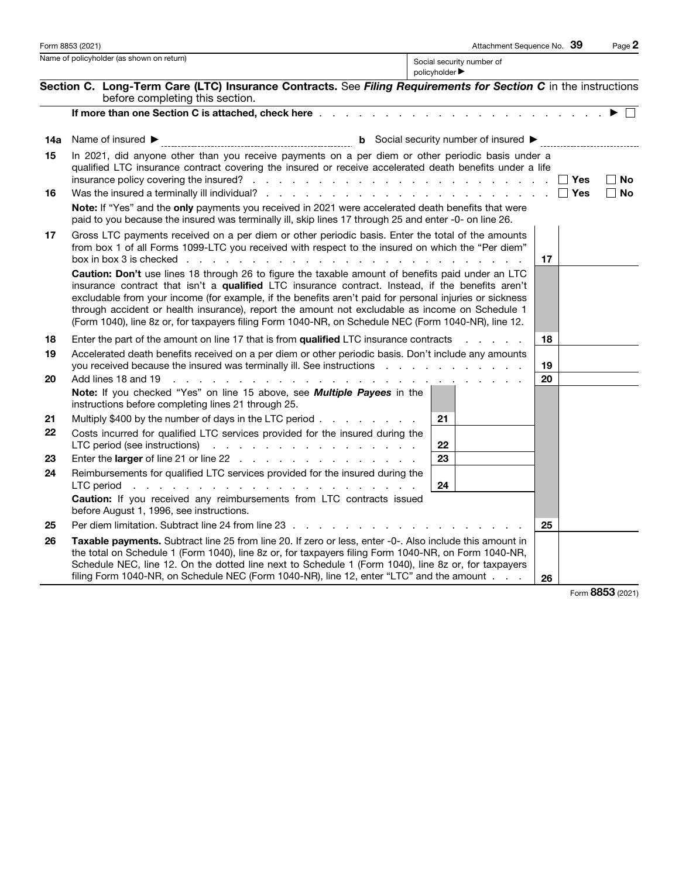| Form 8853 (2021)                                                                |                                                                                                                                                                                                                                                                                                                                                                                                                                                                                                                              | Attachment Sequence No. 39<br>Page 2                                                                                 |
|---------------------------------------------------------------------------------|------------------------------------------------------------------------------------------------------------------------------------------------------------------------------------------------------------------------------------------------------------------------------------------------------------------------------------------------------------------------------------------------------------------------------------------------------------------------------------------------------------------------------|----------------------------------------------------------------------------------------------------------------------|
| Name of policyholder (as shown on return)<br>policyholder $\blacktriangleright$ |                                                                                                                                                                                                                                                                                                                                                                                                                                                                                                                              | Social security number of                                                                                            |
|                                                                                 | Section C. Long-Term Care (LTC) Insurance Contracts. See Filing Requirements for Section C in the instructions<br>before completing this section.                                                                                                                                                                                                                                                                                                                                                                            | <u> 1980 - Johann Barn, mars ann an t-Amhain Aonaich an t-Aonaich an t-Aonaich ann an t-Aonaich ann an t-Aonaich</u> |
|                                                                                 |                                                                                                                                                                                                                                                                                                                                                                                                                                                                                                                              |                                                                                                                      |
| 14a                                                                             | Name of insured $\blacktriangleright$                                                                                                                                                                                                                                                                                                                                                                                                                                                                                        |                                                                                                                      |
| 15                                                                              | In 2021, did anyone other than you receive payments on a per diem or other periodic basis under a<br>qualified LTC insurance contract covering the insured or receive accelerated death benefits under a life                                                                                                                                                                                                                                                                                                                | $\Box$ No<br>∣∣Yes                                                                                                   |
| 16                                                                              |                                                                                                                                                                                                                                                                                                                                                                                                                                                                                                                              | $\Box$ Yes<br>∣ No                                                                                                   |
|                                                                                 | Note: If "Yes" and the only payments you received in 2021 were accelerated death benefits that were<br>paid to you because the insured was terminally ill, skip lines 17 through 25 and enter -0- on line 26.                                                                                                                                                                                                                                                                                                                |                                                                                                                      |
| 17                                                                              | Gross LTC payments received on a per diem or other periodic basis. Enter the total of the amounts<br>from box 1 of all Forms 1099-LTC you received with respect to the insured on which the "Per diem"<br>box in box 3 is checked<br>the contract of the contract of the contract of the contract of the contract of the contract of the contract of                                                                                                                                                                         | 17                                                                                                                   |
|                                                                                 | Caution: Don't use lines 18 through 26 to figure the taxable amount of benefits paid under an LTC<br>insurance contract that isn't a qualified LTC insurance contract. Instead, if the benefits aren't<br>excludable from your income (for example, if the benefits aren't paid for personal injuries or sickness<br>through accident or health insurance), report the amount not excludable as income on Schedule 1<br>(Form 1040), line 8z or, for taxpayers filing Form 1040-NR, on Schedule NEC (Form 1040-NR), line 12. |                                                                                                                      |
| 18                                                                              | Enter the part of the amount on line 17 that is from <b>qualified</b> LTC insurance contracts                                                                                                                                                                                                                                                                                                                                                                                                                                | 18<br><b>Contract Contract</b>                                                                                       |
| 19                                                                              | Accelerated death benefits received on a per diem or other periodic basis. Don't include any amounts<br>you received because the insured was terminally ill. See instructions                                                                                                                                                                                                                                                                                                                                                | 19                                                                                                                   |
| 20                                                                              | Add lines 18 and 19<br>and the company of the company of the<br>and the company of the<br>Note: If you checked "Yes" on line 15 above, see Multiple Payees in the<br>instructions before completing lines 21 through 25.                                                                                                                                                                                                                                                                                                     | 20<br>and the contract of the contract of the                                                                        |
| 21                                                                              | Multiply \$400 by the number of days in the LTC period                                                                                                                                                                                                                                                                                                                                                                                                                                                                       | 21                                                                                                                   |
| 22                                                                              | Costs incurred for qualified LTC services provided for the insured during the<br>LTC period (see instructions) $\cdots$ $\cdots$ $\cdots$ $\cdots$ $\cdots$ $\cdots$ $\cdots$                                                                                                                                                                                                                                                                                                                                                | 22                                                                                                                   |
| 23                                                                              | Enter the larger of line 21 or line 22                                                                                                                                                                                                                                                                                                                                                                                                                                                                                       | 23                                                                                                                   |
| 24                                                                              | Reimbursements for qualified LTC services provided for the insured during the<br>LTC period (b) and a contract of the contract of the contract of the contract of the contract of the contract of the contract of the contract of the contract of the contract of the contract of the contract of the contract                                                                                                                                                                                                               | 24                                                                                                                   |
|                                                                                 | Caution: If you received any reimbursements from LTC contracts issued<br>before August 1, 1996, see instructions.                                                                                                                                                                                                                                                                                                                                                                                                            |                                                                                                                      |
| 25                                                                              | Per diem limitation. Subtract line 24 from line 23                                                                                                                                                                                                                                                                                                                                                                                                                                                                           | 25                                                                                                                   |
| 26                                                                              | Taxable payments. Subtract line 25 from line 20. If zero or less, enter -0-. Also include this amount in<br>the total on Schedule 1 (Form 1040), line 8z or, for taxpayers filing Form 1040-NR, on Form 1040-NR,<br>Schedule NEC, line 12. On the dotted line next to Schedule 1 (Form 1040), line 8z or, for taxpayers<br>filing Form 1040-NR, on Schedule NEC (Form 1040-NR), line 12, enter "LTC" and the amount                                                                                                          | 26                                                                                                                   |

Form 8853 (2021)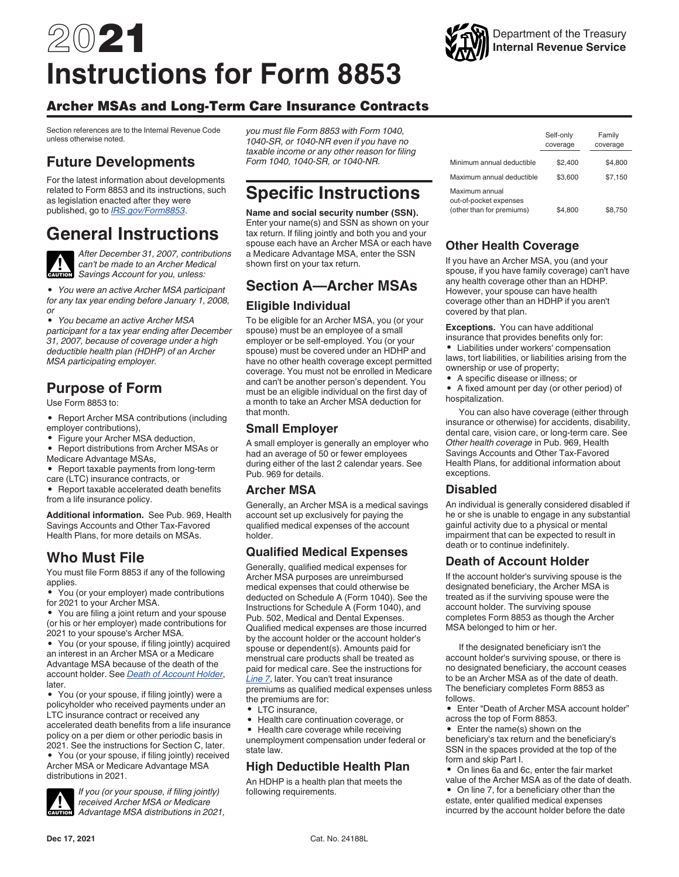# 2021 **Instructions for Form 8853**

## Archer MSAs and Long-Term Care Insurance Contracts

Section references are to the Internal Revenue Code unless otherwise noted.

## **Future Developments**

For the latest information about developments related to Form 8853 and its instructions, such as legislation enacted after they were published, go to *[IRS.gov/Form8853](https://www.irs.gov/form8853)*.

## **General Instructions**



*After December 31, 2007, contributions can't be made to an Archer Medical Savings Account for you, unless:*

*• You were an active Archer MSA participant for any tax year ending before January 1, 2008, or*

*• You became an active Archer MSA participant for a tax year ending after December 31, 2007, because of coverage under a high deductible health plan (HDHP) of an Archer MSA participating employer.*

## **Purpose of Form**

Use Form 8853 to:

- Report Archer MSA contributions (including employer contributions),
- Figure your Archer MSA deduction,<br>• Benort distributions from Archer MS
- Report distributions from Archer MSAs or
- Medicare Advantage MSAs,
- Report taxable payments from long-term care (LTC) insurance contracts, or

• Report taxable accelerated death benefits from a life insurance policy.

**Additional information.** See Pub. 969, Health Savings Accounts and Other Tax-Favored Health Plans, for more details on MSAs.

## **Who Must File**

You must file Form 8853 if any of the following applies.

• You (or your employer) made contributions for 2021 to your Archer MSA.

• You are filing a joint return and your spouse (or his or her employer) made contributions for 2021 to your spouse's Archer MSA.

• You (or your spouse, if filing jointly) acquired an interest in an Archer MSA or a Medicare Advantage MSA because of the death of the account holder. See *Death of Account Holder*, later.

• You (or your spouse, if filing jointly) were a policyholder who received payments under an LTC insurance contract or received any accelerated death benefits from a life insurance policy on a per diem or other periodic basis in 2021. See the instructions for Section C, later.

• You (or your spouse, if filing jointly) received Archer MSA or Medicare Advantage MSA distributions in 2021.

## **CAUTION !**

*If you (or your spouse, if filing jointly) received Archer MSA or Medicare Advantage MSA distributions in 2021,*  *you must file Form 8853 with Form 1040, 1040-SR, or 1040-NR even if you have no taxable income or any other reason for filing Form 1040, 1040-SR, or 1040-NR.*

## **Specific Instructions**

**Name and social security number (SSN).**  Enter your name(s) and SSN as shown on your tax return. If filing jointly and both you and your spouse each have an Archer MSA or each have a Medicare Advantage MSA, enter the SSN shown first on your tax return.

## **Section A—Archer MSAs Eligible Individual**

To be eligible for an Archer MSA, you (or your spouse) must be an employee of a small employer or be self-employed. You (or your spouse) must be covered under an HDHP and have no other health coverage except permitted coverage. You must not be enrolled in Medicare and can't be another person's dependent. You must be an eligible individual on the first day of a month to take an Archer MSA deduction for that month.

## **Small Employer**

A small employer is generally an employer who had an average of 50 or fewer employees during either of the last 2 calendar years. See Pub. 969 for details.

#### **Archer MSA**

Generally, an Archer MSA is a medical savings account set up exclusively for paying the qualified medical expenses of the account holder.

## **Qualified Medical Expenses**

Generally, qualified medical expenses for Archer MSA purposes are unreimbursed medical expenses that could otherwise be deducted on Schedule A (Form 1040). See the Instructions for Schedule A (Form 1040), and Pub. 502, Medical and Dental Expenses. Qualified medical expenses are those incurred by the account holder or the account holder's spouse or dependent(s). Amounts paid for menstrual care products shall be treated as paid for medical care. See the instructions for *Line 7*, later. You can't treat insurance premiums as qualified medical expenses unless the premiums are for:

- LTC insurance,
- Health care continuation coverage, or

• Health care coverage while receiving unemployment compensation under federal or state law.

## **High Deductible Health Plan**

An HDHP is a health plan that meets the following requirements.



## **Other Health Coverage**

If you have an Archer MSA, you (and your spouse, if you have family coverage) can't have any health coverage other than an HDHP. However, your spouse can have health coverage other than an HDHP if you aren't covered by that plan.

**Exceptions.** You can have additional insurance that provides benefits only for:

- Liabilities under workers' compensation laws, tort liabilities, or liabilities arising from the ownership or use of property;
- A specific disease or illness; or

• A fixed amount per day (or other period) of hospitalization.

You can also have coverage (either through insurance or otherwise) for accidents, disability, dental care, vision care, or long-term care. See *Other health coverage* in Pub. 969, Health Savings Accounts and Other Tax-Favored Health Plans, for additional information about exceptions.

#### **Disabled**

An individual is generally considered disabled if he or she is unable to engage in any substantial gainful activity due to a physical or mental impairment that can be expected to result in death or to continue indefinitely.

## **Death of Account Holder**

If the account holder's surviving spouse is the designated beneficiary, the Archer MSA is treated as if the surviving spouse were the account holder. The surviving spouse completes Form 8853 as though the Archer MSA belonged to him or her.

If the designated beneficiary isn't the account holder's surviving spouse, or there is no designated beneficiary, the account ceases to be an Archer MSA as of the date of death. The beneficiary completes Form 8853 as follows.

• Enter "Death of Archer MSA account holder" across the top of Form 8853.

• Enter the name(s) shown on the beneficiary's tax return and the beneficiary's SSN in the spaces provided at the top of the form and skip Part I.

• On lines 6a and 6c, enter the fair market value of the Archer MSA as of the date of death.

• On line 7, for a beneficiary other than the estate, enter qualified medical expenses incurred by the account holder before the date

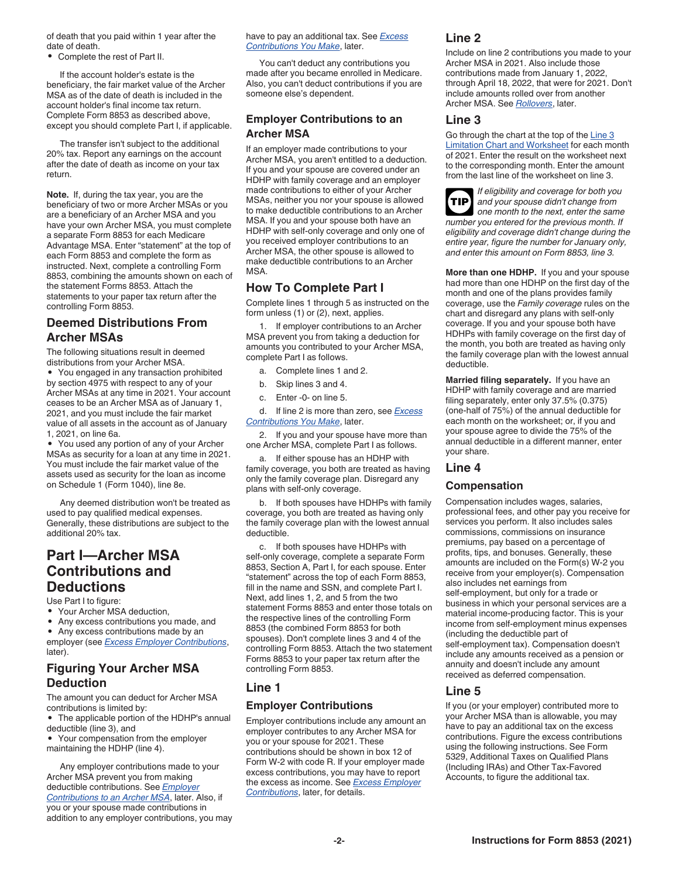of death that you paid within 1 year after the date of death.

• Complete the rest of Part II.

If the account holder's estate is the beneficiary, the fair market value of the Archer MSA as of the date of death is included in the account holder's final income tax return. Complete Form 8853 as described above, except you should complete Part I, if applicable.

The transfer isn't subject to the additional 20% tax. Report any earnings on the account after the date of death as income on your tax return.

**Note.** If, during the tax year, you are the beneficiary of two or more Archer MSAs or you are a beneficiary of an Archer MSA and you have your own Archer MSA, you must complete a separate Form 8853 for each Medicare Advantage MSA. Enter "statement" at the top of each Form 8853 and complete the form as instructed. Next, complete a controlling Form 8853, combining the amounts shown on each of the statement Forms 8853. Attach the statements to your paper tax return after the controlling Form 8853.

### **Deemed Distributions From Archer MSAs**

The following situations result in deemed distributions from your Archer MSA.

• You engaged in any transaction prohibited by section 4975 with respect to any of your Archer MSAs at any time in 2021. Your account ceases to be an Archer MSA as of January 1, 2021, and you must include the fair market value of all assets in the account as of January 1, 2021, on line 6a.

• You used any portion of any of your Archer MSAs as security for a loan at any time in 2021. You must include the fair market value of the assets used as security for the loan as income on Schedule 1 (Form 1040), line 8e.

Any deemed distribution won't be treated as used to pay qualified medical expenses. Generally, these distributions are subject to the additional 20% tax.

## **Part I—Archer MSA Contributions and Deductions**

Use Part I to figure:

later).

- Your Archer MSA deduction,
- Any excess contributions you made, and

• Any excess contributions made by an employer (see *Excess Employer Contributions*,

## **Figuring Your Archer MSA Deduction**

The amount you can deduct for Archer MSA contributions is limited by:

- The applicable portion of the HDHP's annual deductible (line 3), and
- Your compensation from the employer maintaining the HDHP (line 4).

Any employer contributions made to your Archer MSA prevent you from making deductible contributions. See *Employer Contributions to an Archer MSA*, later. Also, if you or your spouse made contributions in addition to any employer contributions, you may have to pay an additional tax. See *Excess Contributions You Make*, later.

You can't deduct any contributions you made after you became enrolled in Medicare. Also, you can't deduct contributions if you are someone else's dependent.

#### **Employer Contributions to an Archer MSA**

If an employer made contributions to your Archer MSA, you aren't entitled to a deduction. If you and your spouse are covered under an HDHP with family coverage and an employer made contributions to either of your Archer MSAs, neither you nor your spouse is allowed to make deductible contributions to an Archer MSA. If you and your spouse both have an HDHP with self-only coverage and only one of you received employer contributions to an Archer MSA, the other spouse is allowed to make deductible contributions to an Archer MSA.

### **How To Complete Part I**

Complete lines 1 through 5 as instructed on the form unless (1) or (2), next, applies.

1. If employer contributions to an Archer MSA prevent you from taking a deduction for amounts you contributed to your Archer MSA, complete Part I as follows.

- a. Complete lines 1 and 2.
- b. Skip lines 3 and 4.
- c. Enter -0- on line 5.

d. If line 2 is more than zero, see *Excess Contributions You Make*, later.

2. If you and your spouse have more than one Archer MSA, complete Part I as follows.

a. If either spouse has an HDHP with family coverage, you both are treated as having only the family coverage plan. Disregard any plans with self-only coverage.

b. If both spouses have HDHPs with family coverage, you both are treated as having only the family coverage plan with the lowest annual deductible.

c. If both spouses have HDHPs with self-only coverage, complete a separate Form 8853, Section A, Part I, for each spouse. Enter "statement" across the top of each Form 8853, fill in the name and SSN, and complete Part I. Next, add lines 1, 2, and 5 from the two statement Forms 8853 and enter those totals on the respective lines of the controlling Form 8853 (the combined Form 8853 for both spouses). Don't complete lines 3 and 4 of the controlling Form 8853. Attach the two statement Forms 8853 to your paper tax return after the controlling Form 8853.

#### **Line 1**

#### **Employer Contributions**

Employer contributions include any amount an employer contributes to any Archer MSA for you or your spouse for 2021. These contributions should be shown in box 12 of Form W-2 with code R. If your employer made excess contributions, you may have to report the excess as income. See *Excess Employer Contributions*, later, for details.

#### **Line 2**

Include on line 2 contributions you made to your Archer MSA in 2021. Also include those contributions made from January 1, 2022, through April 18, 2022, that were for 2021. Don't include amounts rolled over from another Archer MSA. See *Rollovers*, later.

#### **Line 3**

Go through the chart at the top of the Line 3 **Limitation Chart and Worksheet for each month** of 2021. Enter the result on the worksheet next to the corresponding month. Enter the amount from the last line of the worksheet on line 3.



*If eligibility and coverage for both you and your spouse didn't change from one month to the next, enter the same number you entered for the previous month. If eligibility and coverage didn't change during the entire year, figure the number for January only, and enter this amount on Form 8853, line 3.*

**More than one HDHP.** If you and your spouse had more than one HDHP on the first day of the month and one of the plans provides family coverage, use the *Family coverage* rules on the chart and disregard any plans with self-only coverage. If you and your spouse both have HDHPs with family coverage on the first day of the month, you both are treated as having only the family coverage plan with the lowest annual deductible.

**Married filing separately.** If you have an HDHP with family coverage and are married filing separately, enter only 37.5% (0.375) (one-half of 75%) of the annual deductible for each month on the worksheet; or, if you and your spouse agree to divide the 75% of the annual deductible in a different manner, enter your share.

#### **Line 4**

#### **Compensation**

Compensation includes wages, salaries, professional fees, and other pay you receive for services you perform. It also includes sales commissions, commissions on insurance premiums, pay based on a percentage of profits, tips, and bonuses. Generally, these amounts are included on the Form(s) W-2 you receive from your employer(s). Compensation also includes net earnings from self-employment, but only for a trade or business in which your personal services are a material income-producing factor. This is your income from self-employment minus expenses (including the deductible part of self-employment tax). Compensation doesn't include any amounts received as a pension or annuity and doesn't include any amount received as deferred compensation.

#### **Line 5**

If you (or your employer) contributed more to your Archer MSA than is allowable, you may have to pay an additional tax on the excess contributions. Figure the excess contributions using the following instructions. See Form 5329, Additional Taxes on Qualified Plans (Including IRAs) and Other Tax-Favored Accounts, to figure the additional tax.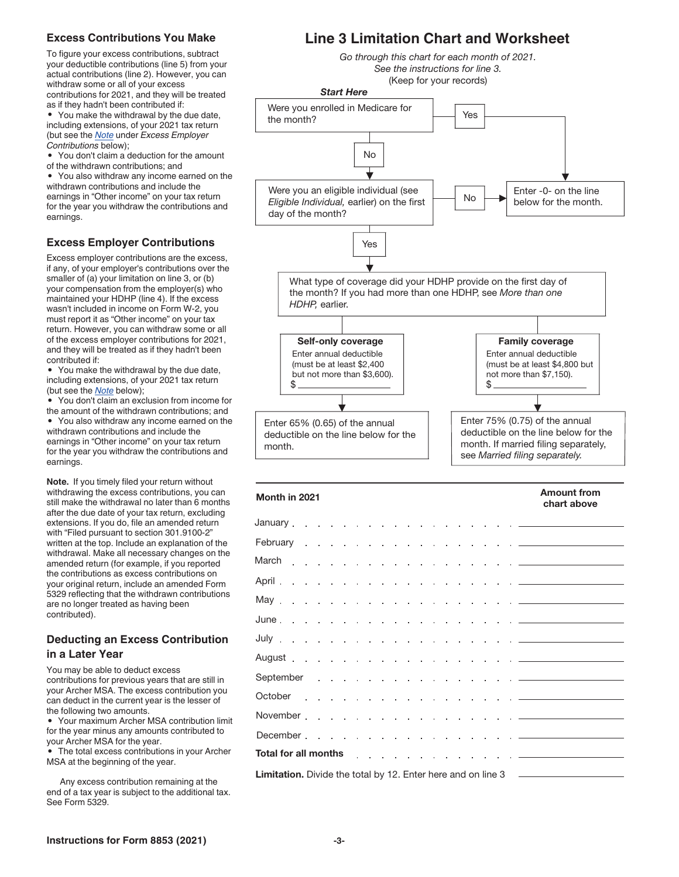#### **Excess Contributions You Make**

To figure your excess contributions, subtract your deductible contributions (line 5) from your actual contributions (line 2). However, you can withdraw some or all of your excess contributions for 2021, and they will be treated as if they hadn't been contributed if:

• You make the withdrawal by the due date, including extensions, of your 2021 tax return (but see the *Note* under *Excess Employer Contributions* below);

• You don't claim a deduction for the amount of the withdrawn contributions; and

• You also withdraw any income earned on the withdrawn contributions and include the earnings in "Other income" on your tax return for the year you withdraw the contributions and earnings.

#### **Excess Employer Contributions**

Excess employer contributions are the excess, if any, of your employer's contributions over the smaller of (a) your limitation on line 3, or (b) your compensation from the employer(s) who maintained your HDHP (line 4). If the excess wasn't included in income on Form W-2, you must report it as "Other income" on your tax return. However, you can withdraw some or all of the excess employer contributions for 2021, and they will be treated as if they hadn't been contributed if:

• You make the withdrawal by the due date, including extensions, of your 2021 tax return (but see the *Note* below);

• You don't claim an exclusion from income for the amount of the withdrawn contributions; and • You also withdraw any income earned on the withdrawn contributions and include the earnings in "Other income" on your tax return for the year you withdraw the contributions and earnings.

**Note.** If you timely filed your return without withdrawing the excess contributions, you can still make the withdrawal no later than 6 months after the due date of your tax return, excluding extensions. If you do, file an amended return with "Filed pursuant to section 301.9100-2" written at the top. Include an explanation of the withdrawal. Make all necessary changes on the amended return (for example, if you reported the contributions as excess contributions on your original return, include an amended Form 5329 reflecting that the withdrawn contributions are no longer treated as having been contributed).

#### **Deducting an Excess Contribution in a Later Year**

You may be able to deduct excess contributions for previous years that are still in your Archer MSA. The excess contribution you can deduct in the current year is the lesser of the following two amounts.

• Your maximum Archer MSA contribution limit for the year minus any amounts contributed to your Archer MSA for the year.

• The total excess contributions in your Archer MSA at the beginning of the year.

Any excess contribution remaining at the end of a tax year is subject to the additional tax. See Form 5329.

## **Line 3 Limitation Chart and Worksheet**

*Go through this chart for each month of 2021. See the instructions for line 3.* (Keep for your records)



| Month in 2021                                                                                                                                                                                                                  | <b>Amount from</b><br>chart above |
|--------------------------------------------------------------------------------------------------------------------------------------------------------------------------------------------------------------------------------|-----------------------------------|
|                                                                                                                                                                                                                                |                                   |
|                                                                                                                                                                                                                                |                                   |
|                                                                                                                                                                                                                                |                                   |
|                                                                                                                                                                                                                                |                                   |
|                                                                                                                                                                                                                                |                                   |
|                                                                                                                                                                                                                                |                                   |
|                                                                                                                                                                                                                                |                                   |
|                                                                                                                                                                                                                                |                                   |
|                                                                                                                                                                                                                                |                                   |
|                                                                                                                                                                                                                                |                                   |
| November <u>.</u>                                                                                                                                                                                                              |                                   |
|                                                                                                                                                                                                                                |                                   |
| Total for all months the state of the state of the state of the state of the state of the state of the state of the state of the state of the state of the state of the state of the state of the state of the state of the st |                                   |
| <b>Limitation.</b> Divide the total by 12. Enter here and on line 3                                                                                                                                                            |                                   |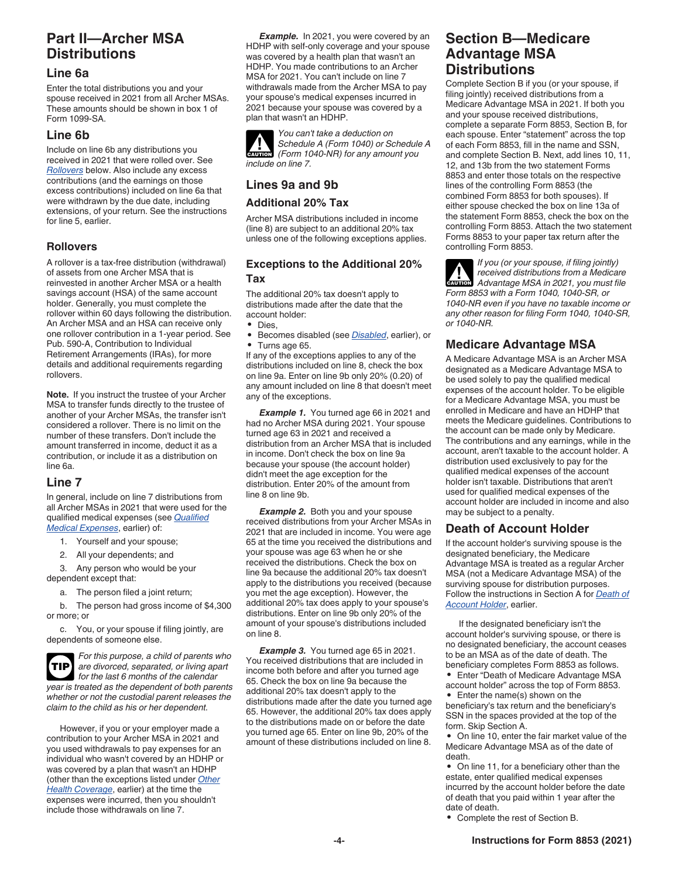## **Part II—Archer MSA Distributions**

#### **Line 6a**

Enter the total distributions you and your spouse received in 2021 from all Archer MSAs. These amounts should be shown in box 1 of Form 1099-SA.

### **Line 6b**

Include on line 6b any distributions you received in 2021 that were rolled over. See *Rollovers* below. Also include any excess contributions (and the earnings on those excess contributions) included on line 6a that were withdrawn by the due date, including extensions, of your return. See the instructions for line 5, earlier.

## **Rollovers**

A rollover is a tax-free distribution (withdrawal) of assets from one Archer MSA that is reinvested in another Archer MSA or a health savings account (HSA) of the same account holder. Generally, you must complete the rollover within 60 days following the distribution. An Archer MSA and an HSA can receive only one rollover contribution in a 1-year period. See Pub. 590-A, Contribution to Individual Retirement Arrangements (IRAs), for more details and additional requirements regarding rollovers.

**Note.** If you instruct the trustee of your Archer MSA to transfer funds directly to the trustee of another of your Archer MSAs, the transfer isn't considered a rollover. There is no limit on the number of these transfers. Don't include the amount transferred in income, deduct it as a contribution, or include it as a distribution on line 6a.

## **Line 7**

In general, include on line 7 distributions from all Archer MSAs in 2021 that were used for the qualified medical expenses (see *Qualified Medical Expenses*, earlier) of:

- 1. Yourself and your spouse;
- 2. All your dependents; and

3. Any person who would be your dependent except that:

a. The person filed a joint return;

b. The person had gross income of \$4,300 or more; or

c. You, or your spouse if filing jointly, are dependents of someone else.

*For this purpose, a child of parents who are divorced, separated, or living apart for the last 6 months of the calendar year is treated as the dependent of both parents whether or not the custodial parent releases the claim to the child as his or her dependent.* **TIP**

However, if you or your employer made a contribution to your Archer MSA in 2021 and you used withdrawals to pay expenses for an individual who wasn't covered by an HDHP or was covered by a plan that wasn't an HDHP (other than the exceptions listed under *Other Health Coverage*, earlier) at the time the expenses were incurred, then you shouldn't include those withdrawals on line 7.

*Example.* In 2021, you were covered by an HDHP with self-only coverage and your spouse was covered by a health plan that wasn't an HDHP. You made contributions to an Archer MSA for 2021. You can't include on line 7 withdrawals made from the Archer MSA to pay your spouse's medical expenses incurred in 2021 because your spouse was covered by a plan that wasn't an HDHP.



## **Lines 9a and 9b**

#### **Additional 20% Tax**

Archer MSA distributions included in income (line 8) are subject to an additional 20% tax unless one of the following exceptions applies.

#### **Exceptions to the Additional 20% Tax**

The additional 20% tax doesn't apply to distributions made after the date that the account holder:

- Dies,
- Becomes disabled (see *Disabled*, earlier), or • Turns age 65.

If any of the exceptions applies to any of the distributions included on line 8, check the box on line 9a. Enter on line 9b only 20% (0.20) of any amount included on line 8 that doesn't meet any of the exceptions.

*Example 1.* You turned age 66 in 2021 and had no Archer MSA during 2021. Your spouse turned age 63 in 2021 and received a distribution from an Archer MSA that is included in income. Don't check the box on line 9a because your spouse (the account holder) didn't meet the age exception for the distribution. Enter 20% of the amount from line 8 on line 9b.

**Example 2.** Both you and your spouse received distributions from your Archer MSAs in 2021 that are included in income. You were age 65 at the time you received the distributions and your spouse was age 63 when he or she received the distributions. Check the box on line 9a because the additional 20% tax doesn't apply to the distributions you received (because you met the age exception). However, the additional 20% tax does apply to your spouse's distributions. Enter on line 9b only 20% of the amount of your spouse's distributions included on line 8.

*Example 3.* You turned age 65 in 2021. You received distributions that are included in income both before and after you turned age 65. Check the box on line 9a because the additional 20% tax doesn't apply to the distributions made after the date you turned age 65. However, the additional 20% tax does apply to the distributions made on or before the date you turned age 65. Enter on line 9b, 20% of the amount of these distributions included on line 8.

## **Section B—Medicare Advantage MSA Distributions**

Complete Section B if you (or your spouse, if filing jointly) received distributions from a Medicare Advantage MSA in 2021. If both you and your spouse received distributions, complete a separate Form 8853, Section B, for each spouse. Enter "statement" across the top of each Form 8853, fill in the name and SSN, and complete Section B. Next, add lines 10, 11, 12, and 13b from the two statement Forms 8853 and enter those totals on the respective lines of the controlling Form 8853 (the combined Form 8853 for both spouses). If either spouse checked the box on line 13a of the statement Form 8853, check the box on the controlling Form 8853. Attach the two statement Forms 8853 to your paper tax return after the controlling Form 8853.

*If you (or your spouse, if filing jointly) received distributions from a Medicare Advantage MSA in 2021, you must file*  **CAUTION** *Form 8853 with a Form 1040, 1040-SR, or 1040-NR even if you have no taxable income or any other reason for filing Form 1040, 1040-SR, or 1040-NR.* **!**

## **Medicare Advantage MSA**

A Medicare Advantage MSA is an Archer MSA designated as a Medicare Advantage MSA to be used solely to pay the qualified medical expenses of the account holder. To be eligible for a Medicare Advantage MSA, you must be enrolled in Medicare and have an HDHP that meets the Medicare guidelines. Contributions to the account can be made only by Medicare. The contributions and any earnings, while in the account, aren't taxable to the account holder. A distribution used exclusively to pay for the qualified medical expenses of the account holder isn't taxable. Distributions that aren't used for qualified medical expenses of the account holder are included in income and also may be subject to a penalty.

#### **Death of Account Holder**

If the account holder's surviving spouse is the designated beneficiary, the Medicare Advantage MSA is treated as a regular Archer MSA (not a Medicare Advantage MSA) of the surviving spouse for distribution purposes. Follow the instructions in Section A for *Death of Account Holder*, earlier.

If the designated beneficiary isn't the account holder's surviving spouse, or there is no designated beneficiary, the account ceases to be an MSA as of the date of death. The beneficiary completes Form 8853 as follows.

• Enter "Death of Medicare Advantage MSA account holder" across the top of Form 8853.

• Enter the name(s) shown on the beneficiary's tax return and the beneficiary's SSN in the spaces provided at the top of the form. Skip Section A.

• On line 10, enter the fair market value of the Medicare Advantage MSA as of the date of death.

• On line 11, for a beneficiary other than the estate, enter qualified medical expenses incurred by the account holder before the date of death that you paid within 1 year after the date of death.

• Complete the rest of Section B.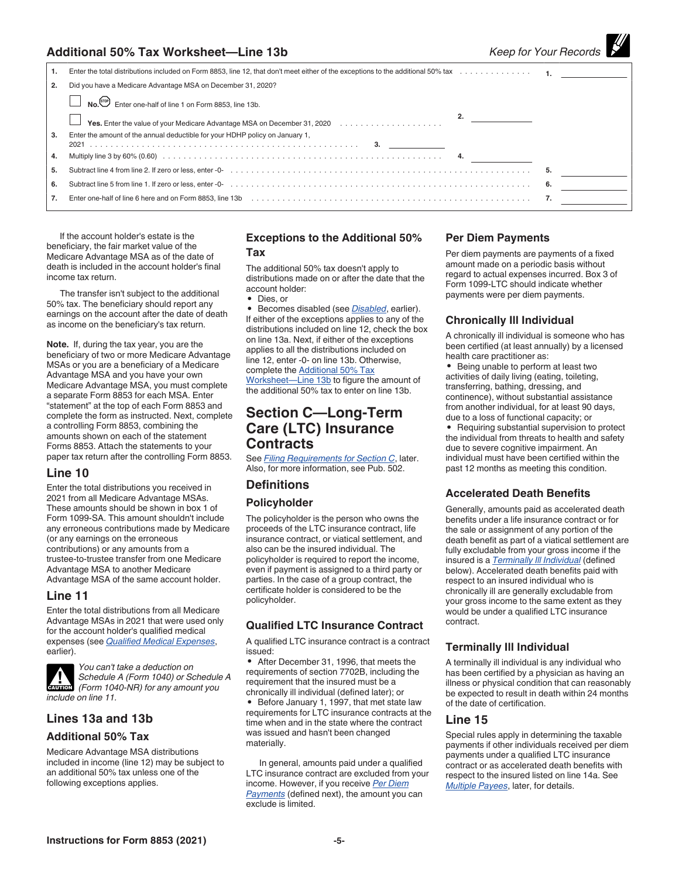### **Additional 50% Tax Worksheet—Line 13b** *Keep for Your Records*

|  | Keep for Your Records |
|--|-----------------------|

| 1. |                                                                                                  |    |  |
|----|--------------------------------------------------------------------------------------------------|----|--|
| 2. | Did you have a Medicare Advantage MSA on December 31, 2020?                                      |    |  |
|    | No. stop) Enter one-half of line 1 on Form 8853, line 13b.                                       |    |  |
|    | 2.<br><b>Ves.</b> Enter the value of your Medicare Advantage MSA on December 31, 2020 $\ldots$ , |    |  |
| 3. | Enter the amount of the annual deductible for your HDHP policy on January 1,                     |    |  |
|    |                                                                                                  |    |  |
| 4. |                                                                                                  |    |  |
| 5. | Subtract line 4 from line 2. If zero or less, enter -0-<br>5.                                    |    |  |
| 6. |                                                                                                  | 6. |  |
| 7. |                                                                                                  |    |  |
|    |                                                                                                  |    |  |

If the account holder's estate is the beneficiary, the fair market value of the Medicare Advantage MSA as of the date of death is included in the account holder's final income tax return.

The transfer isn't subject to the additional 50% tax. The beneficiary should report any earnings on the account after the date of death as income on the beneficiary's tax return.

**Note.** If, during the tax year, you are the beneficiary of two or more Medicare Advantage MSAs or you are a beneficiary of a Medicare Advantage MSA and you have your own Medicare Advantage MSA, you must complete a separate Form 8853 for each MSA. Enter "statement" at the top of each Form 8853 and complete the form as instructed. Next, complete a controlling Form 8853, combining the amounts shown on each of the statement Forms 8853. Attach the statements to your paper tax return after the controlling Form 8853.

#### **Line 10**

Enter the total distributions you received in 2021 from all Medicare Advantage MSAs. These amounts should be shown in box 1 of Form 1099-SA. This amount shouldn't include any erroneous contributions made by Medicare (or any earnings on the erroneous contributions) or any amounts from a trustee-to-trustee transfer from one Medicare Advantage MSA to another Medicare Advantage MSA of the same account holder.

#### **Line 11**

Enter the total distributions from all Medicare Advantage MSAs in 2021 that were used only for the account holder's qualified medical expenses (see *Qualified Medical Expenses*, earlier).



*You can't take a deduction on Schedule A (Form 1040) or Schedule A*  **CAUTION** *(Form 1040-NR)* for any amount you *include on line 11.*

#### **Lines 13a and 13b**

#### **Additional 50% Tax**

Medicare Advantage MSA distributions included in income (line 12) may be subject to an additional 50% tax unless one of the following exceptions applies.

#### **Exceptions to the Additional 50% Tax**

The additional 50% tax doesn't apply to distributions made on or after the date that the account holder:

• Dies, or

• Becomes disabled (see *Disabled*, earlier). If either of the exceptions applies to any of the distributions included on line 12, check the box on line 13a. Next, if either of the exceptions applies to all the distributions included on line 12, enter -0- on line 13b. Otherwise, complete the **Additional 50% Tax** Worksheet—Line 13b to figure the amount of

the additional 50% tax to enter on line 13b.

## **Section C—Long-Term Care (LTC) Insurance Contracts**

See *Filing Requirements for Section C*, later. Also, for more information, see Pub. 502.

#### **Definitions**

#### **Policyholder**

The policyholder is the person who owns the proceeds of the LTC insurance contract, life insurance contract, or viatical settlement, and also can be the insured individual. The policyholder is required to report the income, even if payment is assigned to a third party or parties. In the case of a group contract, the certificate holder is considered to be the policyholder.

#### **Qualified LTC Insurance Contract**

A qualified LTC insurance contract is a contract issued:

• After December 31, 1996, that meets the requirements of section 7702B, including the requirement that the insured must be a chronically ill individual (defined later); or • Before January 1, 1997, that met state law requirements for LTC insurance contracts at the time when and in the state where the contract was issued and hasn't been changed materially.

In general, amounts paid under a qualified LTC insurance contract are excluded from your income. However, if you receive *Per Diem Payments* (defined next), the amount you can exclude is limited.

#### **Per Diem Payments**

Per diem payments are payments of a fixed amount made on a periodic basis without regard to actual expenses incurred. Box 3 of Form 1099-LTC should indicate whether payments were per diem payments.

#### **Chronically Ill Individual**

A chronically ill individual is someone who has been certified (at least annually) by a licensed health care practitioner as:

• Being unable to perform at least two activities of daily living (eating, toileting, transferring, bathing, dressing, and continence), without substantial assistance from another individual, for at least 90 days, due to a loss of functional capacity; or

• Requiring substantial supervision to protect the individual from threats to health and safety due to severe cognitive impairment. An individual must have been certified within the past 12 months as meeting this condition.

#### **Accelerated Death Benefits**

Generally, amounts paid as accelerated death benefits under a life insurance contract or for the sale or assignment of any portion of the death benefit as part of a viatical settlement are fully excludable from your gross income if the insured is a *Terminally Ill Individual* (defined below). Accelerated death benefits paid with respect to an insured individual who is chronically ill are generally excludable from your gross income to the same extent as they would be under a qualified LTC insurance contract.

#### **Terminally Ill Individual**

A terminally ill individual is any individual who has been certified by a physician as having an illness or physical condition that can reasonably be expected to result in death within 24 months of the date of certification.

#### **Line 15**

Special rules apply in determining the taxable payments if other individuals received per diem payments under a qualified LTC insurance contract or as accelerated death benefits with respect to the insured listed on line 14a. See *Multiple Payees*, later, for details.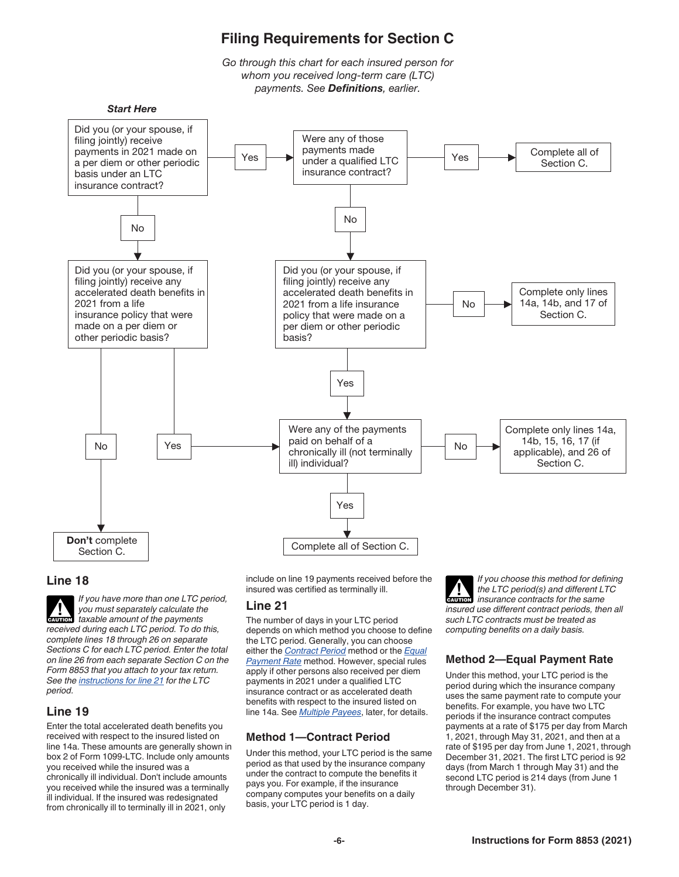

#### **Line 18**



*If you have more than one LTC period, you must separately calculate the taxable amount of the payments received during each LTC period. To do this, complete lines 18 through 26 on separate Sections C for each LTC period. Enter the total on line 26 from each separate Section C on the Form 8853 that you attach to your tax return. See the instructions for line 21 for the LTC period.* **CAUTION**

## **Line 19**

Enter the total accelerated death benefits you received with respect to the insured listed on line 14a. These amounts are generally shown in box 2 of Form 1099-LTC. Include only amounts you received while the insured was a chronically ill individual. Don't include amounts you received while the insured was a terminally ill individual. If the insured was redesignated from chronically ill to terminally ill in 2021, only

include on line 19 payments received before the insured was certified as terminally ill.

## **Line 21**

The number of days in your LTC period depends on which method you choose to define the LTC period. Generally, you can choose either the *Contract Period* method or the *Equal Payment Rate* method. However, special rules apply if other persons also received per diem payments in 2021 under a qualified LTC insurance contract or as accelerated death benefits with respect to the insured listed on line 14a. See *Multiple Payees*, later, for details.

## **Method 1—Contract Period**

Under this method, your LTC period is the same period as that used by the insurance company under the contract to compute the benefits it pays you. For example, if the insurance company computes your benefits on a daily basis, your LTC period is 1 day.

*If you choose this method for defining the LTC period(s) and different LTC insurance contracts for the same insured use different contract periods, then all such LTC contracts must be treated as computing benefits on a daily basis.* **CAUTION !**

## **Method 2—Equal Payment Rate**

Under this method, your LTC period is the period during which the insurance company uses the same payment rate to compute your benefits. For example, you have two LTC periods if the insurance contract computes payments at a rate of \$175 per day from March 1, 2021, through May 31, 2021, and then at a rate of \$195 per day from June 1, 2021, through December 31, 2021. The first LTC period is 92 days (from March 1 through May 31) and the second LTC period is 214 days (from June 1 through December 31).